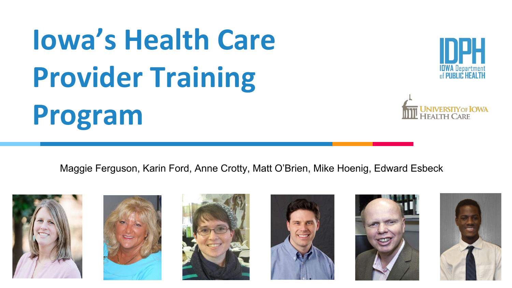# **Iowa's Health Care Provider Training Program**





Maggie Ferguson, Karin Ford, Anne Crotty, Matt O'Brien, Mike Hoenig, Edward Esbeck











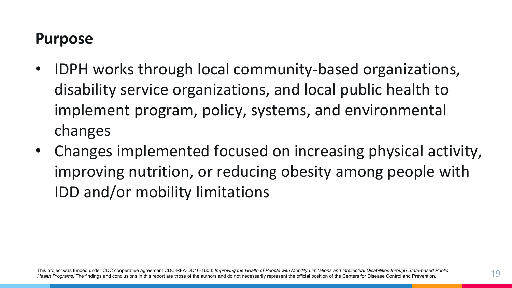## **Purpose**

- IDPH works through local community-based organizations, disability service organizations, and local public health to implement program, policy, systems, and environmental changes
- Changes implemented focused on increasing physical activity, improving nutrition, or reducing obesity among people with IDD and/or mobility limitations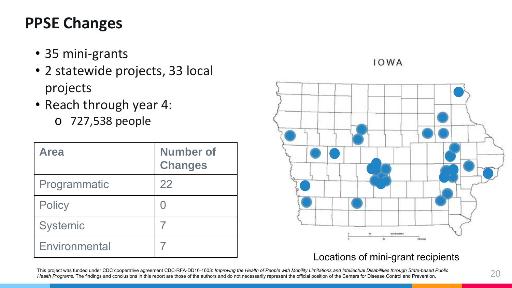# **PPSE Changes**

- 35 mini-grants
- 2 statewide projects, 33 local projects
- Reach through year 4:
	- o 727,538 people

| <b>Area</b>     | <b>Number of</b><br><b>Changes</b> |
|-----------------|------------------------------------|
| Programmatic    | 22                                 |
| <b>Policy</b>   |                                    |
| <b>Systemic</b> |                                    |
| Environmental   |                                    |

#### **IOWA**



#### Locations of mini-grant recipients

This project was funded under CDC cooperative agreement CDC-RFA-DD16-1603: *Improving the Health of People with Mobility Limitations and Intellectual Disabilities through State-based Public*  Health Programs. The findings and conclusions in this report are those of the authors and do not necessarily represent the official position of the Centers for Disease Control and Prevention.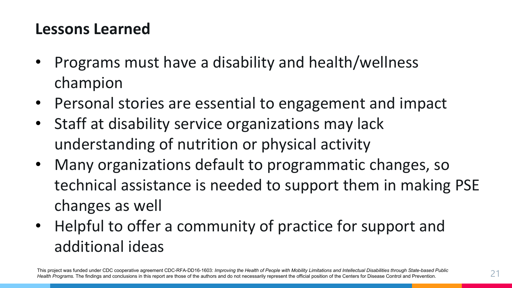## **Lessons Learned**

- Programs must have a disability and health/wellness champion
- Personal stories are essential to engagement and impact
- Staff at disability service organizations may lack understanding of nutrition or physical activity
- Many organizations default to programmatic changes, so technical assistance is needed to support them in making PSE changes as well
- Helpful to offer a community of practice for support and additional ideas

This project was funded under CDC cooperative agreement CDC-RFA-DD16-1603: *Improving the Health of People with Mobility Limitations and Intellectual Disabilities through State-based Public \_\_\_\_\_\_\_\_\_\_\_\_\_\_\_\_\_\_\_\_\_\_\_\_\_\_\_\_\_\_\_\_*